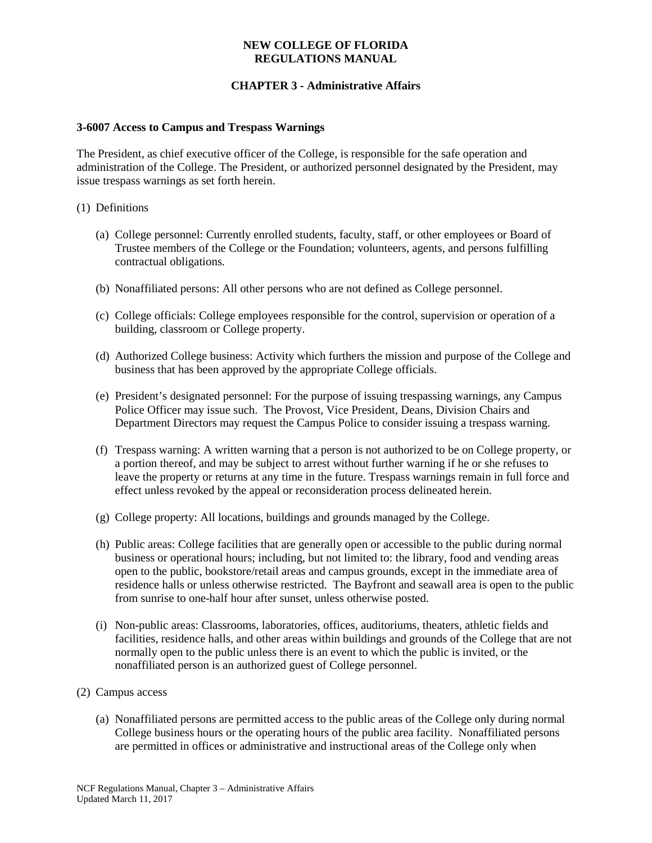## **NEW COLLEGE OF FLORIDA REGULATIONS MANUAL**

# **CHAPTER 3 - Administrative Affairs**

#### **3-6007 Access to Campus and Trespass Warnings**

The President, as chief executive officer of the College, is responsible for the safe operation and administration of the College. The President, or authorized personnel designated by the President, may issue trespass warnings as set forth herein.

#### (1) Definitions

- (a) College personnel: Currently enrolled students, faculty, staff, or other employees or Board of Trustee members of the College or the Foundation; volunteers, agents, and persons fulfilling contractual obligations.
- (b) Nonaffiliated persons: All other persons who are not defined as College personnel.
- (c) College officials: College employees responsible for the control, supervision or operation of a building, classroom or College property.
- (d) Authorized College business: Activity which furthers the mission and purpose of the College and business that has been approved by the appropriate College officials.
- (e) President's designated personnel: For the purpose of issuing trespassing warnings, any Campus Police Officer may issue such. The Provost, Vice President, Deans, Division Chairs and Department Directors may request the Campus Police to consider issuing a trespass warning.
- (f) Trespass warning: A written warning that a person is not authorized to be on College property, or a portion thereof, and may be subject to arrest without further warning if he or she refuses to leave the property or returns at any time in the future. Trespass warnings remain in full force and effect unless revoked by the appeal or reconsideration process delineated herein.
- (g) College property: All locations, buildings and grounds managed by the College.
- (h) Public areas: College facilities that are generally open or accessible to the public during normal business or operational hours; including, but not limited to: the library, food and vending areas open to the public, bookstore/retail areas and campus grounds, except in the immediate area of residence halls or unless otherwise restricted. The Bayfront and seawall area is open to the public from sunrise to one-half hour after sunset, unless otherwise posted.
- (i) Non-public areas: Classrooms, laboratories, offices, auditoriums, theaters, athletic fields and facilities, residence halls, and other areas within buildings and grounds of the College that are not normally open to the public unless there is an event to which the public is invited, or the nonaffiliated person is an authorized guest of College personnel.
- (2) Campus access
	- (a) Nonaffiliated persons are permitted access to the public areas of the College only during normal College business hours or the operating hours of the public area facility. Nonaffiliated persons are permitted in offices or administrative and instructional areas of the College only when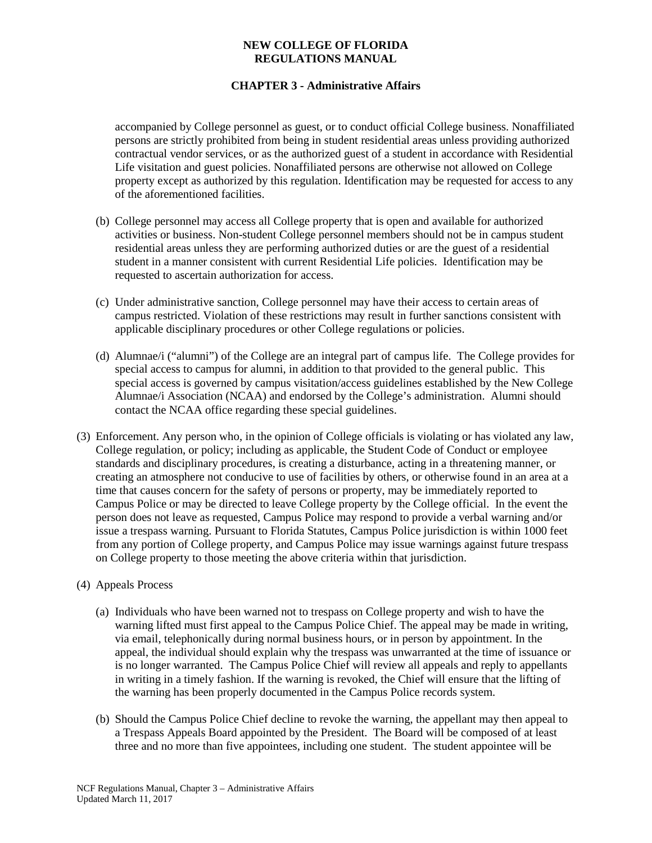## **NEW COLLEGE OF FLORIDA REGULATIONS MANUAL**

# **CHAPTER 3 - Administrative Affairs**

accompanied by College personnel as guest, or to conduct official College business. Nonaffiliated persons are strictly prohibited from being in student residential areas unless providing authorized contractual vendor services, or as the authorized guest of a student in accordance with Residential Life visitation and guest policies. Nonaffiliated persons are otherwise not allowed on College property except as authorized by this regulation. Identification may be requested for access to any of the aforementioned facilities.

- (b) College personnel may access all College property that is open and available for authorized activities or business. Non-student College personnel members should not be in campus student residential areas unless they are performing authorized duties or are the guest of a residential student in a manner consistent with current Residential Life policies. Identification may be requested to ascertain authorization for access.
- (c) Under administrative sanction, College personnel may have their access to certain areas of campus restricted. Violation of these restrictions may result in further sanctions consistent with applicable disciplinary procedures or other College regulations or policies.
- (d) Alumnae/i ("alumni") of the College are an integral part of campus life. The College provides for special access to campus for alumni, in addition to that provided to the general public. This special access is governed by campus visitation/access guidelines established by the New College Alumnae/i Association (NCAA) and endorsed by the College's administration. Alumni should contact the NCAA office regarding these special guidelines.
- (3) Enforcement. Any person who, in the opinion of College officials is violating or has violated any law, College regulation, or policy; including as applicable, the Student Code of Conduct or employee standards and disciplinary procedures, is creating a disturbance, acting in a threatening manner, or creating an atmosphere not conducive to use of facilities by others, or otherwise found in an area at a time that causes concern for the safety of persons or property, may be immediately reported to Campus Police or may be directed to leave College property by the College official. In the event the person does not leave as requested, Campus Police may respond to provide a verbal warning and/or issue a trespass warning. Pursuant to Florida Statutes, Campus Police jurisdiction is within 1000 feet from any portion of College property, and Campus Police may issue warnings against future trespass on College property to those meeting the above criteria within that jurisdiction.

#### (4) Appeals Process

- (a) Individuals who have been warned not to trespass on College property and wish to have the warning lifted must first appeal to the Campus Police Chief. The appeal may be made in writing, via email, telephonically during normal business hours, or in person by appointment. In the appeal, the individual should explain why the trespass was unwarranted at the time of issuance or is no longer warranted. The Campus Police Chief will review all appeals and reply to appellants in writing in a timely fashion. If the warning is revoked, the Chief will ensure that the lifting of the warning has been properly documented in the Campus Police records system.
- (b) Should the Campus Police Chief decline to revoke the warning, the appellant may then appeal to a Trespass Appeals Board appointed by the President. The Board will be composed of at least three and no more than five appointees, including one student. The student appointee will be